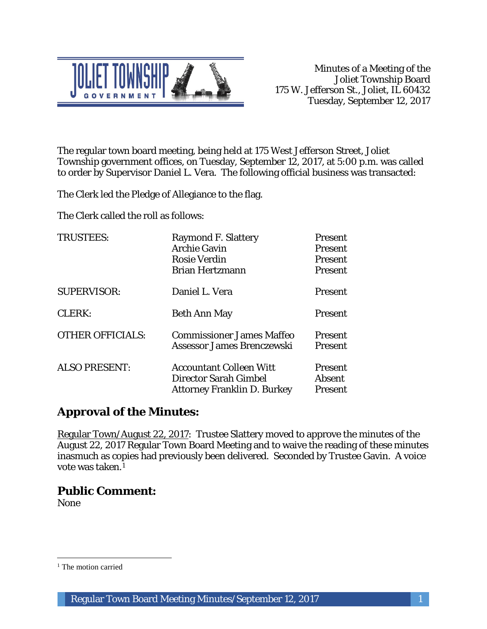

The regular town board meeting, being held at 175 West Jefferson Street, Joliet Township government offices, on Tuesday, September 12, 2017, at 5:00 p.m. was called to order by Supervisor Daniel L. Vera. The following official business was transacted:

The Clerk led the Pledge of Allegiance to the flag.

The Clerk called the roll as follows:

| <b>TRUSTEES:</b>        | <b>Raymond F. Slattery</b><br><b>Archie Gavin</b><br><b>Rosie Verdin</b><br><b>Brian Hertzmann</b> | Present<br>Present<br>Present<br>Present   |
|-------------------------|----------------------------------------------------------------------------------------------------|--------------------------------------------|
| <b>SUPERVISOR:</b>      | Daniel L. Vera                                                                                     | Present                                    |
| CLERK:                  | <b>Beth Ann May</b>                                                                                | Present                                    |
| <b>OTHER OFFICIALS:</b> | <b>Commissioner James Maffeo</b><br>Assessor James Brenczewski                                     | <b>Present</b><br><b>Present</b>           |
| <b>ALSO PRESENT:</b>    | <b>Accountant Colleen Witt</b><br>Director Sarah Gimbel<br><b>Attorney Franklin D. Burkey</b>      | <b>Present</b><br><b>Absent</b><br>Present |

# **Approval of the Minutes:**

Regular Town/August 22, 2017: Trustee Slattery moved to approve the minutes of the August 22, 2017 Regular Town Board Meeting and to waive the reading of these minutes inasmuch as copies had previously been delivered. Seconded by Trustee Gavin. A voice vote was taken.1

# **Public Comment:**

None

 $\overline{a}$ 

<sup>&</sup>lt;sup>1</sup> The motion carried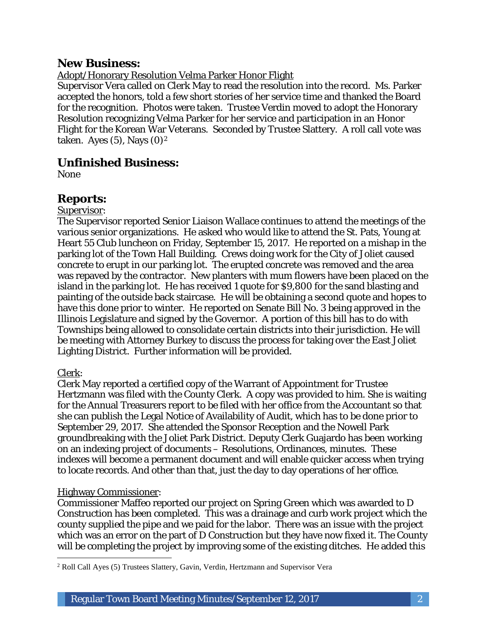# **New Business:**

### Adopt/Honorary Resolution Velma Parker Honor Flight

Supervisor Vera called on Clerk May to read the resolution into the record. Ms. Parker accepted the honors, told a few short stories of her service time and thanked the Board for the recognition. Photos were taken. Trustee Verdin moved to adopt the Honorary Resolution recognizing Velma Parker for her service and participation in an Honor Flight for the Korean War Veterans. Seconded by Trustee Slattery. A roll call vote was taken. Ayes  $(5)$ , Nays  $(0)<sup>2</sup>$ 

## **Unfinished Business:**

None

# **Reports:**

#### Supervisor:

The Supervisor reported Senior Liaison Wallace continues to attend the meetings of the various senior organizations. He asked who would like to attend the St. Pats, Young at Heart 55 Club luncheon on Friday, September 15, 2017. He reported on a mishap in the parking lot of the Town Hall Building. Crews doing work for the City of Joliet caused concrete to erupt in our parking lot. The erupted concrete was removed and the area was repaved by the contractor. New planters with mum flowers have been placed on the island in the parking lot. He has received 1 quote for \$9,800 for the sand blasting and painting of the outside back staircase. He will be obtaining a second quote and hopes to have this done prior to winter. He reported on Senate Bill No. 3 being approved in the Illinois Legislature and signed by the Governor. A portion of this bill has to do with Townships being allowed to consolidate certain districts into their jurisdiction. He will be meeting with Attorney Burkey to discuss the process for taking over the East Joliet Lighting District. Further information will be provided.

### Clerk:

Clerk May reported a certified copy of the Warrant of Appointment for Trustee Hertzmann was filed with the County Clerk. A copy was provided to him. She is waiting for the Annual Treasurers report to be filed with her office from the Accountant so that she can publish the Legal Notice of Availability of Audit, which has to be done prior to September 29, 2017. She attended the Sponsor Reception and the Nowell Park groundbreaking with the Joliet Park District. Deputy Clerk Guajardo has been working on an indexing project of documents – Resolutions, Ordinances, minutes. These indexes will become a permanent document and will enable quicker access when trying to locate records. And other than that, just the day to day operations of her office.

### Highway Commissioner:

Commissioner Maffeo reported our project on Spring Green which was awarded to D Construction has been completed. This was a drainage and curb work project which the county supplied the pipe and we paid for the labor. There was an issue with the project which was an error on the part of D Construction but they have now fixed it. The County will be completing the project by improving some of the existing ditches. He added this

 $\overline{a}$ <sup>2</sup> Roll Call Ayes (5) Trustees Slattery, Gavin, Verdin, Hertzmann and Supervisor Vera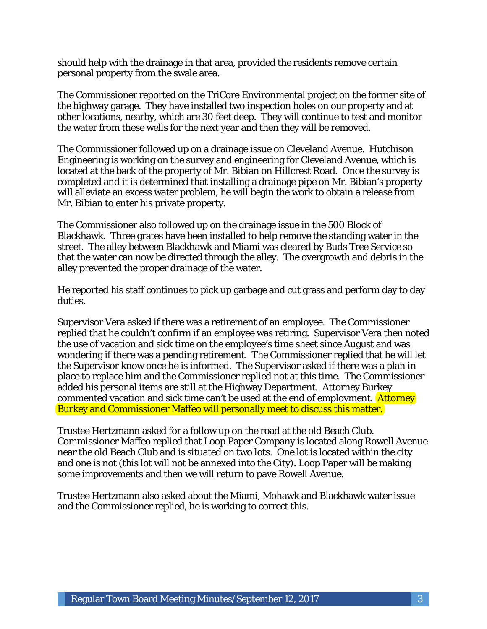should help with the drainage in that area, provided the residents remove certain personal property from the swale area.

The Commissioner reported on the TriCore Environmental project on the former site of the highway garage. They have installed two inspection holes on our property and at other locations, nearby, which are 30 feet deep. They will continue to test and monitor the water from these wells for the next year and then they will be removed.

The Commissioner followed up on a drainage issue on Cleveland Avenue. Hutchison Engineering is working on the survey and engineering for Cleveland Avenue, which is located at the back of the property of Mr. Bibian on Hillcrest Road. Once the survey is completed and it is determined that installing a drainage pipe on Mr. Bibian's property will alleviate an excess water problem, he will begin the work to obtain a release from Mr. Bibian to enter his private property.

The Commissioner also followed up on the drainage issue in the 500 Block of Blackhawk. Three grates have been installed to help remove the standing water in the street. The alley between Blackhawk and Miami was cleared by Buds Tree Service so that the water can now be directed through the alley. The overgrowth and debris in the alley prevented the proper drainage of the water.

He reported his staff continues to pick up garbage and cut grass and perform day to day duties.

Supervisor Vera asked if there was a retirement of an employee. The Commissioner replied that he couldn't confirm if an employee was retiring. Supervisor Vera then noted the use of vacation and sick time on the employee's time sheet since August and was wondering if there was a pending retirement. The Commissioner replied that he will let the Supervisor know once he is informed. The Supervisor asked if there was a plan in place to replace him and the Commissioner replied not at this time. The Commissioner added his personal items are still at the Highway Department. Attorney Burkey commented vacation and sick time can't be used at the end of employment. Attorney Burkey and Commissioner Maffeo will personally meet to discuss this matter.

Trustee Hertzmann asked for a follow up on the road at the old Beach Club. Commissioner Maffeo replied that Loop Paper Company is located along Rowell Avenue near the old Beach Club and is situated on two lots. One lot is located within the city and one is not (this lot will not be annexed into the City). Loop Paper will be making some improvements and then we will return to pave Rowell Avenue.

Trustee Hertzmann also asked about the Miami, Mohawk and Blackhawk water issue and the Commissioner replied, he is working to correct this.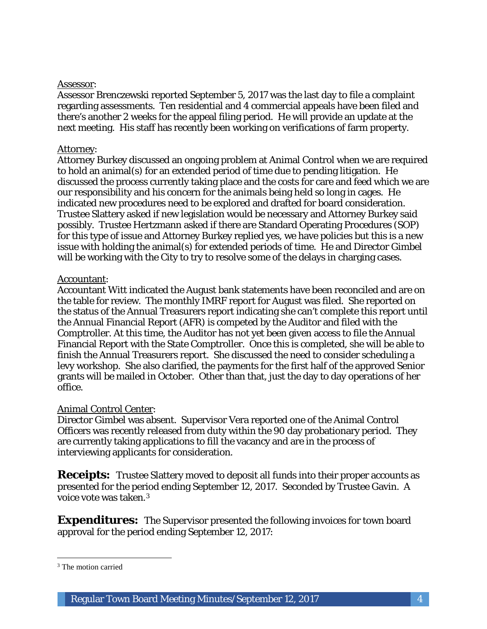### Assessor:

Assessor Brenczewski reported September 5, 2017 was the last day to file a complaint regarding assessments. Ten residential and 4 commercial appeals have been filed and there's another 2 weeks for the appeal filing period. He will provide an update at the next meeting. His staff has recently been working on verifications of farm property.

#### Attorney:

Attorney Burkey discussed an ongoing problem at Animal Control when we are required to hold an animal(s) for an extended period of time due to pending litigation. He discussed the process currently taking place and the costs for care and feed which we are our responsibility and his concern for the animals being held so long in cages. He indicated new procedures need to be explored and drafted for board consideration. Trustee Slattery asked if new legislation would be necessary and Attorney Burkey said possibly. Trustee Hertzmann asked if there are Standard Operating Procedures (SOP) for this type of issue and Attorney Burkey replied yes, we have policies but this is a new issue with holding the animal(s) for extended periods of time. He and Director Gimbel will be working with the City to try to resolve some of the delays in charging cases.

#### Accountant:

Accountant Witt indicated the August bank statements have been reconciled and are on the table for review. The monthly IMRF report for August was filed. She reported on the status of the Annual Treasurers report indicating she can't complete this report until the Annual Financial Report (AFR) is competed by the Auditor and filed with the Comptroller. At this time, the Auditor has not yet been given access to file the Annual Financial Report with the State Comptroller. Once this is completed, she will be able to finish the Annual Treasurers report. She discussed the need to consider scheduling a levy workshop. She also clarified, the payments for the first half of the approved Senior grants will be mailed in October. Other than that, just the day to day operations of her office.

#### Animal Control Center:

Director Gimbel was absent. Supervisor Vera reported one of the Animal Control Officers was recently released from duty within the 90 day probationary period. They are currently taking applications to fill the vacancy and are in the process of interviewing applicants for consideration.

**Receipts:** Trustee Slattery moved to deposit all funds into their proper accounts as presented for the period ending September 12, 2017. Seconded by Trustee Gavin. A voice vote was taken.3

**Expenditures:** The Supervisor presented the following invoices for town board approval for the period ending September 12, 2017:

 $\overline{a}$ <sup>3</sup> The motion carried